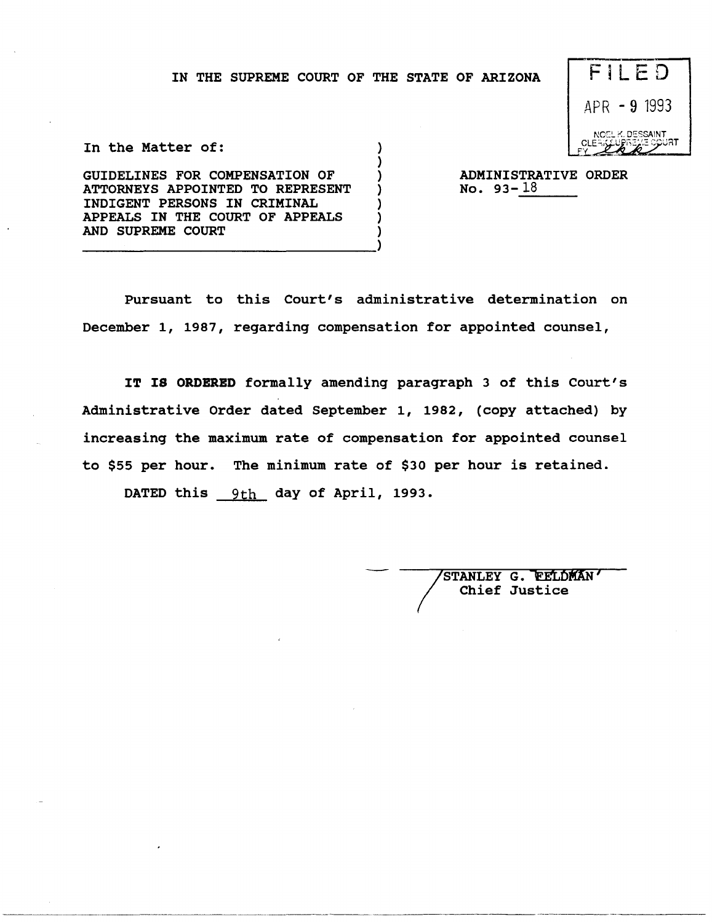} ) } ) ) ) )



In the Matter of:

GUIDELINES FOR COMPENSATION OF ATTORNEYS APPOINTED TO REPRESENT INDIGENT PERSONS IN CRIMINAL APPEALS IN THE COURT OF APPEALS AND SUPREME COURT ----------------------------------)

ADMINISTRATIVE ORDER No. 93- $\frac{18}{\sqrt{25}}$ 

Pursuant to this Court's administrative determination on December 1, 1987, regarding compensation for appointed counsel,

**IT IS ORDERED** formally amending paragraph 3 of this Court's Administrative Order dated September 1, 1982, (copy attached) by increasing the maximum rate of compensation for appointed counsel to \$55 per hour. The minimum rate of \$30 per hour is retained.

DATED this 9th day of April, 1993.

STANLEY G. FELDMAN Chief Justice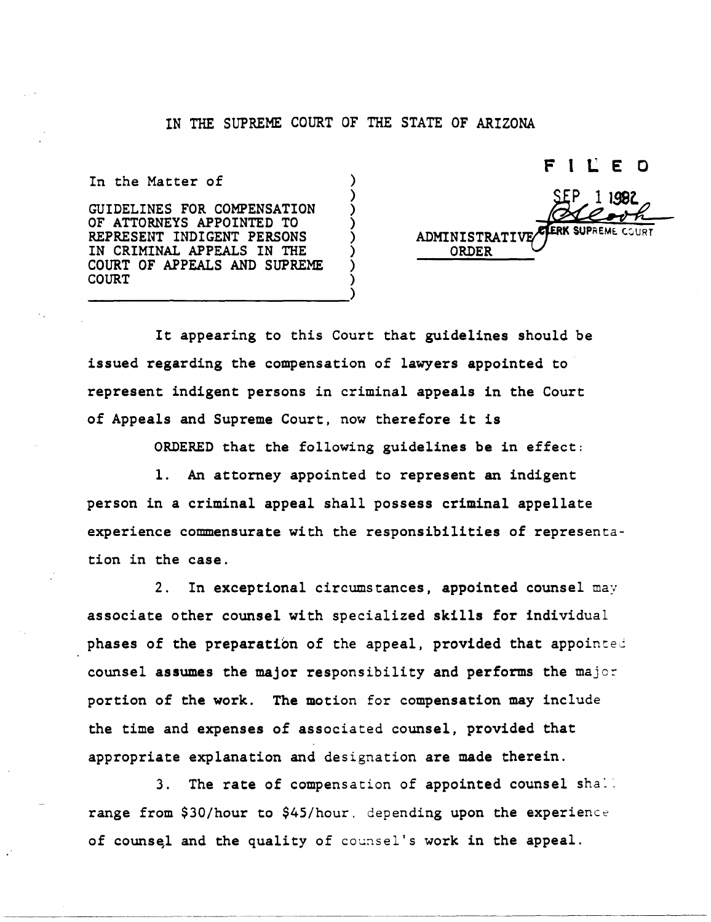) ) ) ) ) ) ) )

In the Matter of

GUIDELINES FOR COMPENSATION OF ATTORNEYS APPOINTED TO REPRESENT INDIGENT PERSONS IN CRIMINAL APPEALS IN THE COURT OF APPEALS AND SUPREME COURT ----------------------------)

F ILED ADMINISTRATI ORDER

It appearing to this Court that guidelines should be issued regarding the compensation of lawyers appointed to represent indigent persons in criminal appeals in the Court of Appeals and Supreme Court, now therefore it is

ORDERED that the following guidelines be in effect:

1. An attorney appointed to represent an indigent person in a criminal appeal shall possess criminal appellate experience commensurate with the responsibilities of representation in the case.

2. In exceptional circumstances, appointed counsel may associate other counsel with specialized skills for individual phases of the preparation of the appeal, provided that appointed counsel assumes the major responsibility and performs the major portion of the work. The motion for compensation may include the time and expenses of associated counsel, provided that appropriate explanation and designation are made therein.

3. The rate of compensation of appointed counsel shall range from \$30/hour to \$45/hour, depending upon the experience of counsel and the quality of counsel's work in the appeal.

~~------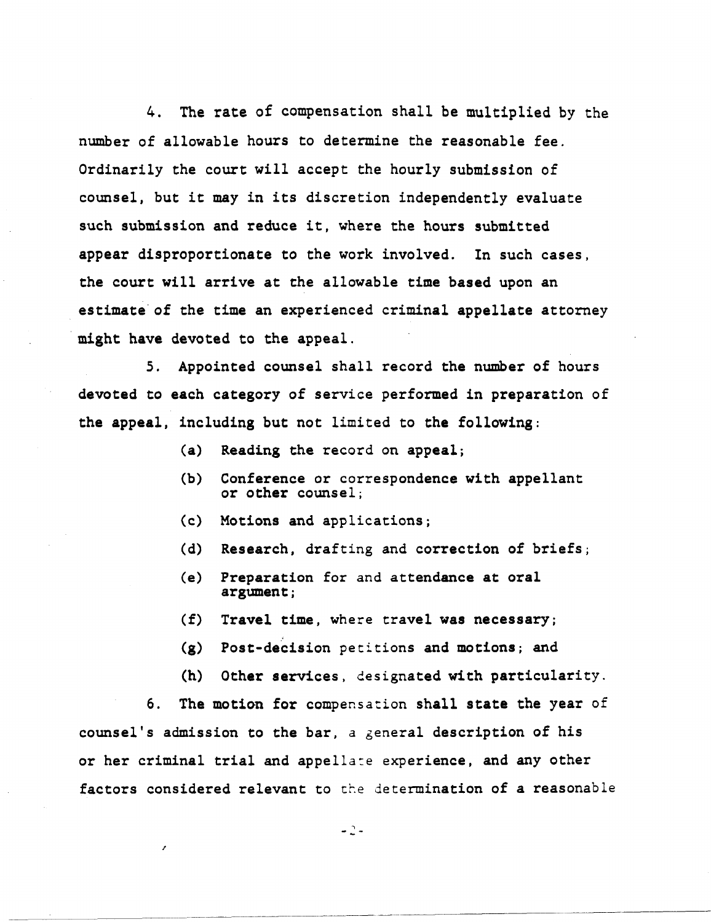4. The rate of compensation shall be multiplied by the number of allowable hours to determine the reasonable fee. Ordinarily the court will accept the hourly submission of counsel, but it may in its discretion independently evaluate such submission and reduce it, where the hours submitted appear disproportionate to the work involved. In such cases, the court will arrive at the allowable time based upon an estimate'of the time an experienced criminal appellate attorney might have devoted to the appeal.

5. Appointed counsel shall record the number of hours devoted to each category of service performed in preparation of the appeal, including but not limited to the following:

- (a) Reading the record on appeal;
- (b) Conference or correspondence with appellant or other counsel;
- <c) Motions and applications;
- (d) Research, drafting and correction of briefs;
- (e) Preparation for and attendance at oral argument;
- (f) Travel time, where travel was necessary;
- (g) Post-decision petitions and motions; and
- (h) Other services, designated with particularity.

6. The motion for compensation shall state the year of counsel's admission to the bar, a general description of his or her criminal trial and appella:e experience, and any other factors considered relevant to the determination of a reasonable

 $-2-$ 

------\_.\_ .. \_.\_-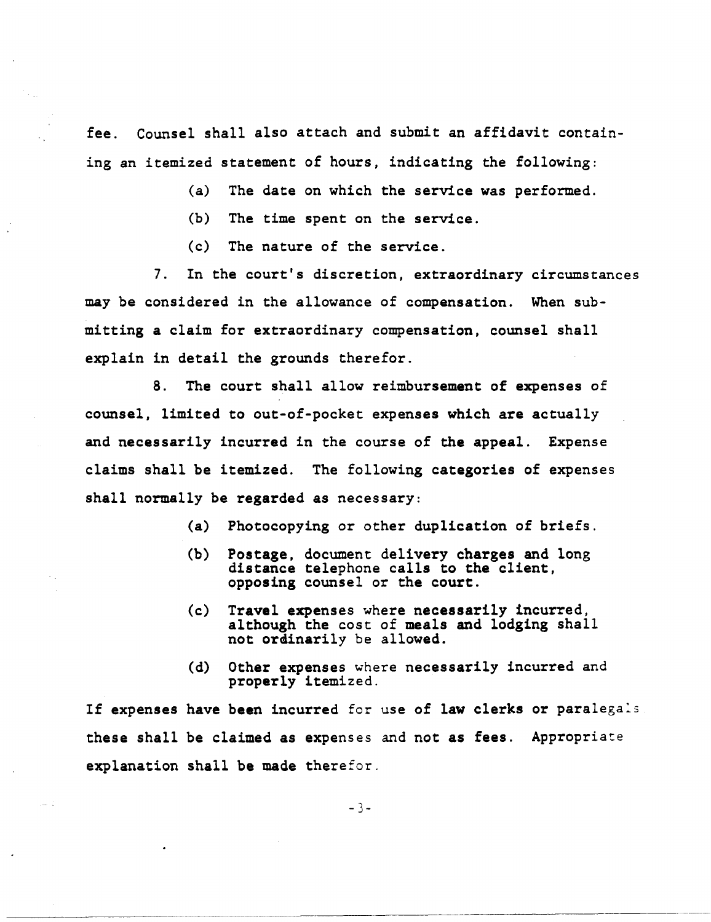fee. Counsel shall also attach and submit an affidavit containing an itemized statement of hours, indicating the following:

- (a) The date on which the service was performed.
- (b) The time spent on the service.
- (c) The nature of the service.

7. In the court's discretion, extraordinary circumstances may be considered in the allowance of compensation. When submitting a claim for extraordinary compensation, counsel shall explain in detail the grounds therefor.

8. The court shall allow reimbursement of expenses of counsel, limited to out-of-pocket expenses which are actually and necessarily incurred in the course of the appeal. Expense claims shall be itemized. The following categories of expenses shall normally be regarded as necessary:

- (a) Photocopying or other duplication of briefs.
- (b) Postage, document delivery charges and long distance telephone calls to the client, opposing counsel or the court.
- (c) Travel expenses where necessarily incurred, although the cost of meals and lodging shall not ordinarily be allowed.
- (d) Other expenses where necessarily incurred and properly itemized.

If expenses have been incurred for use of law clerks or paralegals. these shall be claimed as expenses and not as fees. Appropriate explanation shall be made therefor.

-3-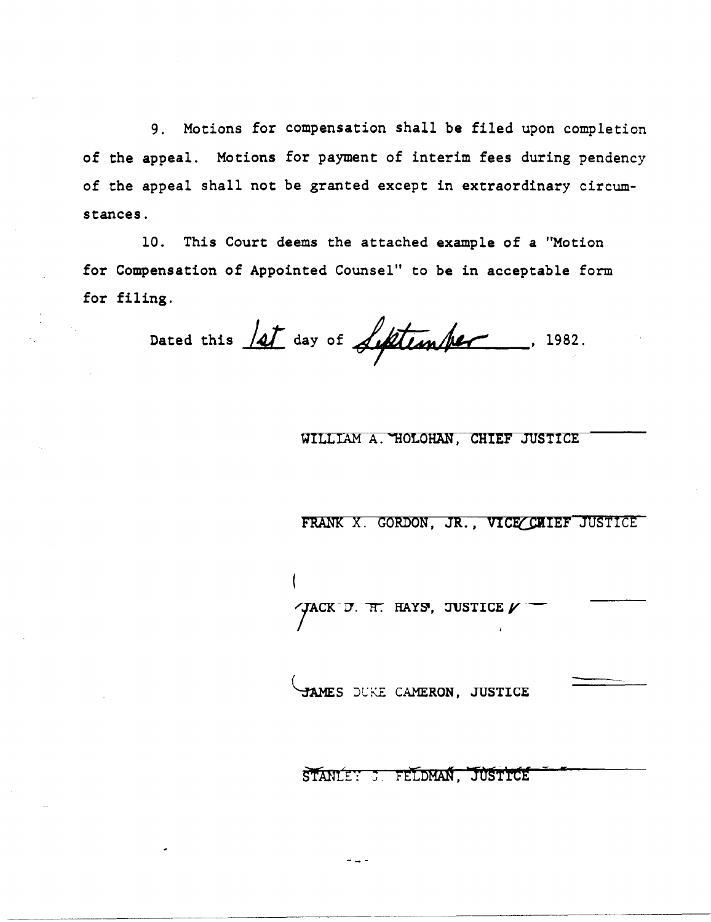9. Motions for compensation shall be filed upon completion of the appeal. Motions for payment of interim fees during pendency of the appeal shall not be granted except in extraordinary *circum*stances.

10. This Court deems the attached example of a "Motion for Compensation of Appointed Counsel" to be in acceptable form for filing.

Dated this <u>lat</u> day of **Liftenher**, 1982.

# WILLIAM A. HOLOHAN, CHIEF JUSTICE

FRANK X. GORDON, JR., VICE CULLET JUSTICE

 $\gamma$ ACK D. H. HAYS, JUSTICE  $\nu$ 

K

JAMES DUKE CAMERON, JUSTICE

STANLEY 3 FELDMAN, JUSTICE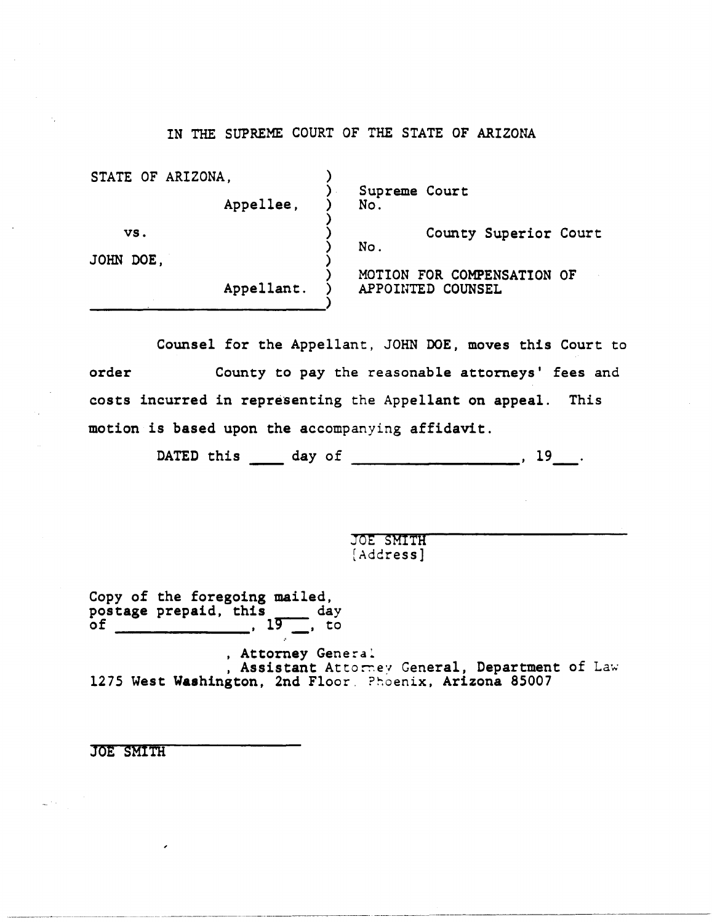| STATE OF ARIZONA, | Appellee,  | Supreme Court<br>No. |                                                 |                       |  |
|-------------------|------------|----------------------|-------------------------------------------------|-----------------------|--|
| VS.<br>JOHN DOE,  |            | No.                  |                                                 | County Superior Court |  |
|                   | Appellant. |                      | MOTION FOR COMPENSATION OF<br>APPOINTED COUNSEL |                       |  |

Counsel for the Appellant, JOHN DOE, moves this Court to order County to pay the reasonable attorneys' fees and costs incurred in representing the Appellant on appeal. This motion is based upon the accompanying affidavit.

DATED this \_\_\_\_\_ day of \_\_\_\_\_\_\_\_\_\_\_\_\_\_\_\_\_\_\_\_, 19

JOE SMITH [Address]

Copy of the foregoing mailed, postage prepaid, this day<br>of , 19, to

, Attorney General ...<br>, Assistant Attorney General, Department of Law 1275 West Washington, 2nd Floor. Phoenix, Arizona 85007

JOE SMITH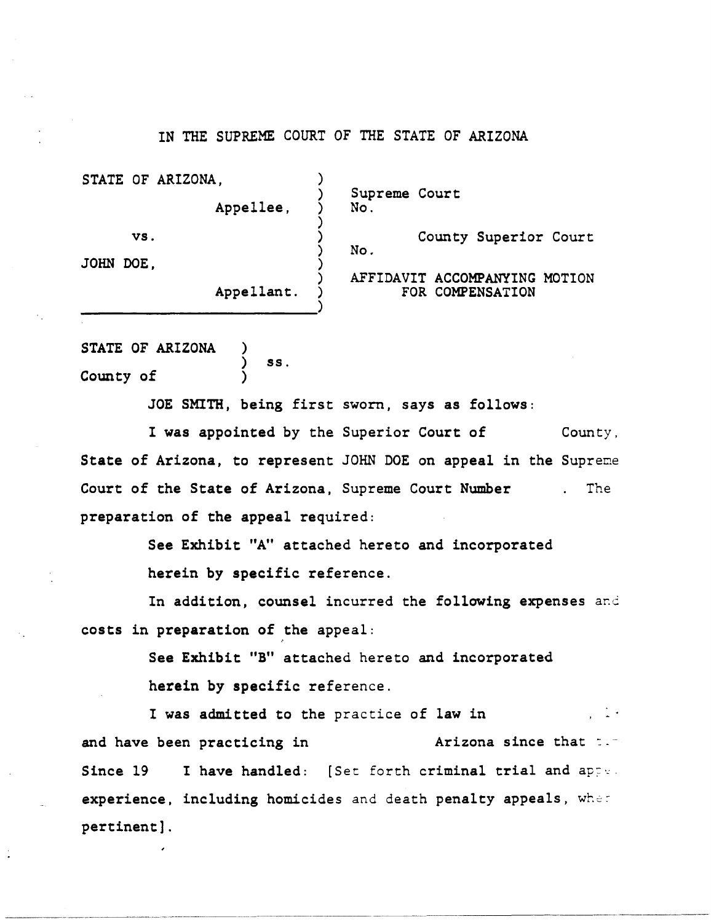STATE OF ARIZONA, Supreme Court<br>No. Appellee. ) vs. (a) County Superior Court ) No. JOHN DOE, ) ) AFFIDAVIT ACCOMPANYING MOTION Appellant. FOR COMPENSATION )

STATE OF ARIZONA County of ) ) ss. )

JOE SMITH, being first sworn, says as follows:

I was appointed by the Superior Court of County, State of Arizona, to represent JOHN DOE on appeal in the Supreme Court of the State of Arizona, Supreme Court Number preparation of the appeal required: The

> See Exhibit "A" attached hereto and incorporated herein by specific reference.

In addition, counsel incurred the following expenses and costs in preparation of the appeal:

> See Exhibit "B" attached hereto and incorporated herein by specific reference.

I was admitted to the practice of law in and have been practicing in The Arizona since that  $\sim$ -Since  $19$  I have handled: [Set forth criminal trial and apperexperience, including homicides and death penalty appeals, where pertinent] .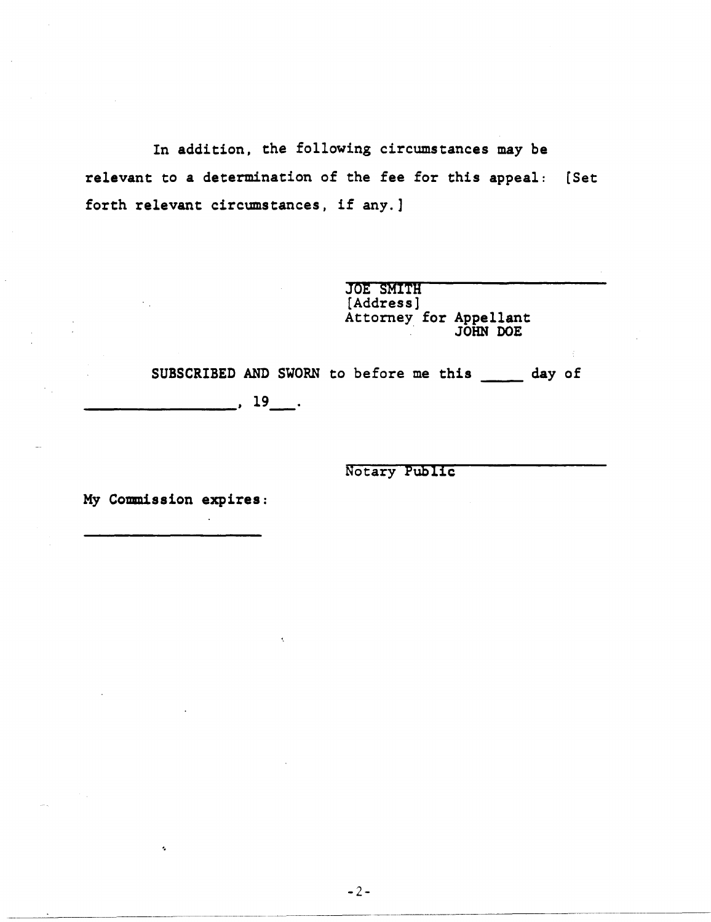In addition, the following circumstances may be relevant to a determination of the fee for this appeal: [Set forth relevant circumstances, if any.]

> JOE SMITH [Address] Attorney for Appellant<br>JOHN DOE

SUBSCRIBED AND SWORN to before me this \_\_ day of  $\overline{\phantom{a}}$ , 19 $\overline{\phantom{a}}$ .

Notary PUblic

My Commission expires:

'.

--~~-----~-.-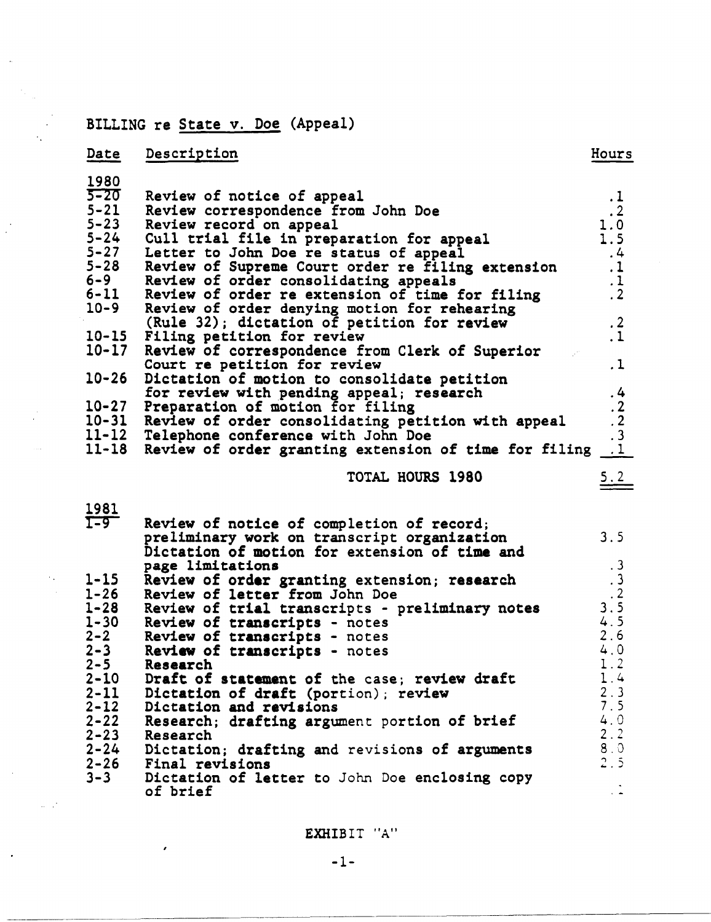# BILLING re State v. Doe (Appeal)

 $\epsilon_{\rm x}$ 

 $\mathbb{Z}^{\mathbb{Z}^2}$ 

 $\mathbf{z}^{\prime}$ 

| Date      | Description                                                                    | Hours                                           |
|-----------|--------------------------------------------------------------------------------|-------------------------------------------------|
| 1980      |                                                                                |                                                 |
| $5 - 20$  | Review of notice of appeal                                                     | $\cdot$ 1                                       |
| $5 - 21$  | Review correspondence from John Doe                                            | $\cdot$ 2                                       |
| $5 - 23$  | Review record on appeal                                                        | 1.0                                             |
| $5 - 24$  | Cull trial file in preparation for appeal                                      | 1.5                                             |
| $5 - 27$  | Letter to John Doe re status of appeal                                         | , 4                                             |
| $5 - 28$  | Review of Supreme Court order re filing extension                              | $\cdot$ 1                                       |
| $6 - 9$   | Review of order consolidating appeals                                          | $\frac{1}{2}$                                   |
| $6 - 11$  | Review of order re extension of time for filing                                |                                                 |
| $10 - 9$  | Review of order denying motion for rehearing                                   |                                                 |
|           | (Rule 32); dictation of petition for review                                    | $\cdot$ 2                                       |
| $10 - 15$ | Filing petition for review                                                     | $\cdot$ 1                                       |
| $10 - 17$ | Review of correspondence from Clerk of Superior                                |                                                 |
|           | Court re petition for review                                                   | $\cdot$ 1                                       |
| $10 - 26$ | Dictation of motion to consolidate petition                                    |                                                 |
|           | for review with pending appeal; research                                       | , 4                                             |
| $10 - 27$ | Preparation of motion for filing                                               |                                                 |
| $10 - 31$ | Review of order consolidating petition with appeal                             |                                                 |
| $11 - 12$ | Telephone conference with John Doe                                             | $\begin{array}{c} 2 \\ 2 \\ 3 \\ 1 \end{array}$ |
| $11 - 18$ | Review of order granting extension of time for filing                          |                                                 |
|           | TOTAL HOURS 1980                                                               | <u>5.2</u>                                      |
| 1981      |                                                                                |                                                 |
| $T - 9$   |                                                                                |                                                 |
|           | Review of notice of completion of record;                                      | 3.5                                             |
|           | preliminary work on transcript organization                                    |                                                 |
|           | Dictation of motion for extension of time and                                  |                                                 |
| $1 - 15$  | page limitations                                                               | $\cdot$ 3                                       |
| $1 - 26$  | Review of order granting extension; research<br>Review of letter from John Doe | $\begin{array}{c} .3 \\ .2 \\ .5 \end{array}$   |
| $1 - 28$  |                                                                                |                                                 |
| $1 - 30$  | Review of trial transcripts - preliminary notes                                | 4.5                                             |
| $2 - 2$   | Review of transcripts - notes<br>Review of transcripts - notes                 | 2.6                                             |
| $2 - 3$   | Review of transcripts - notes                                                  | 4.0                                             |
| $2 - 5$   | Research                                                                       | 1.2                                             |
| $2 - 10$  | Draft of statement of the case; review draft                                   | 1.4                                             |
| $2 - 11$  | Dictation of draft (portion); review                                           | 2.3                                             |
| $2 - 12$  | Dictation and revisions                                                        | 7.5                                             |
| $2 - 22$  | Research; drafting argument portion of brief                                   | 4.0                                             |
| $2 - 23$  | Research                                                                       | 2.2                                             |
| $2 - 24$  |                                                                                | 8.0                                             |
|           | Dictation; drafting and revisions of arguments                                 | 2.5                                             |
| $2 - 26$  | Final revisions                                                                |                                                 |

3-3 rimar revisions<br>Dictation of letter to John Doe enclosing copy<br>of brief

EXHIBIT *"A"* 

 $\frac{1}{2}$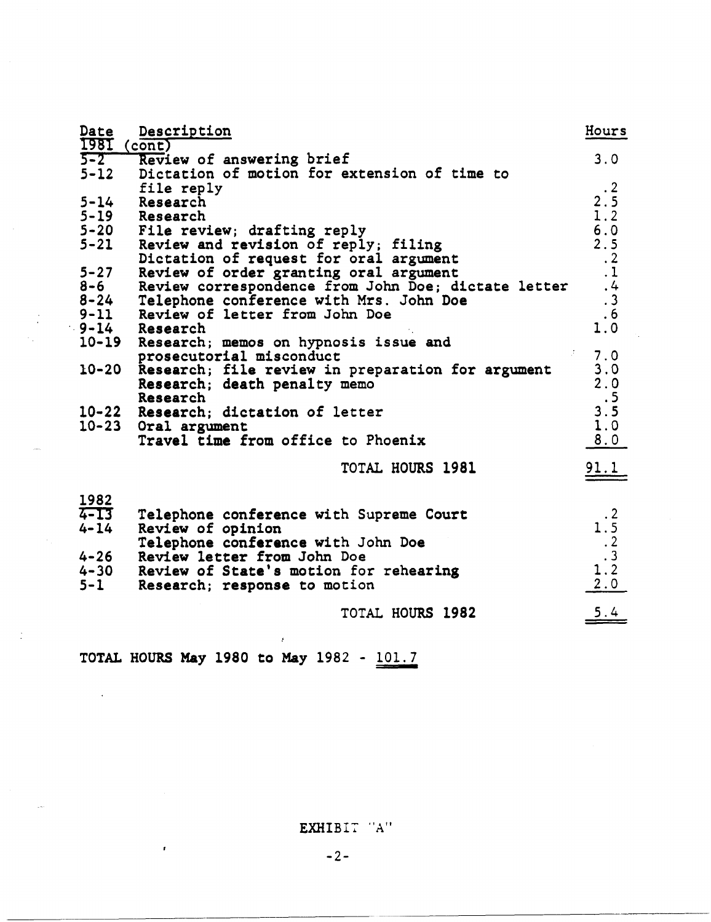| Date<br>1981 (cont) | Description                                                                                   | Hours                                                            |
|---------------------|-----------------------------------------------------------------------------------------------|------------------------------------------------------------------|
| $5-2$               | Review of answering brief                                                                     | 3.0                                                              |
| $5 - 12$            | Dictation of motion for extension of time to                                                  |                                                                  |
|                     | file reply                                                                                    | $\cdot$ 2                                                        |
| $5 - 14$            | Research                                                                                      | 2.5                                                              |
|                     | 5-19 Research                                                                                 | 1.2                                                              |
|                     | 5-20 File review; drafting reply                                                              | 6.0                                                              |
| $5 - 21$            | Review and revision of reply; filing                                                          | 2.5                                                              |
| $5 - 27$            | Dictation of request for oral argument                                                        | $\cdot$ 2<br>$\cdot$ 1                                           |
| $8 - 6$             | Review of order granting oral argument<br>Review correspondence from John Doe; dictate letter |                                                                  |
| $8 - 24$            | Telephone conference with Mrs. John Doe                                                       | $\frac{4}{3}$                                                    |
| $9 - 11$            | Review of letter from John Doe                                                                | .6                                                               |
| $9 - 14$            | Research                                                                                      | 1.0                                                              |
| $10 - 19$           | Research; memos on hypnosis issue and                                                         |                                                                  |
|                     | prosecutorial misconduct                                                                      | 7.0                                                              |
| $10 - 20$           | Research; file review in preparation for argument                                             | 3.0                                                              |
|                     | Research; death penalty memo                                                                  | 2.0                                                              |
|                     | Research                                                                                      | .5                                                               |
|                     | 10-22 Research; dictation of letter                                                           | 3.5                                                              |
|                     | 10-23 Oral argument                                                                           | 1.0                                                              |
|                     | Travel time from office to Phoenix                                                            | 8.0                                                              |
|                     | <b>TOTAL HOURS 1981</b>                                                                       | 91.1                                                             |
|                     |                                                                                               |                                                                  |
| 1982                |                                                                                               |                                                                  |
| $4 - 13$            | Telephone conference with Supreme Court                                                       | $\cdot$ 2                                                        |
| $4 - 14$            | Review of opinion                                                                             |                                                                  |
|                     | Telephone conference with John Doe                                                            | $1.\overline{5}$<br>$.2$<br>$1.\overline{2}$<br>$1.\overline{2}$ |
| $4 - 26$            | Review letter from John Doe                                                                   |                                                                  |
| $4 - 30$            | Review of State's motion for rehearing                                                        | 2.0                                                              |
| $5 - 1$             | Research; response to motion                                                                  |                                                                  |
|                     | TOTAL HOURS 1982                                                                              | 5.4                                                              |
|                     |                                                                                               |                                                                  |
|                     |                                                                                               |                                                                  |

TOTAL HOURS May 1980 to May 1982 -  $\underline{101.7}$ 

 $\mathbb{R}^2$ 

 $\bar{z}$ 

 $\bar{\pmb{\tau}}$ 

EXHIBI7 "A"